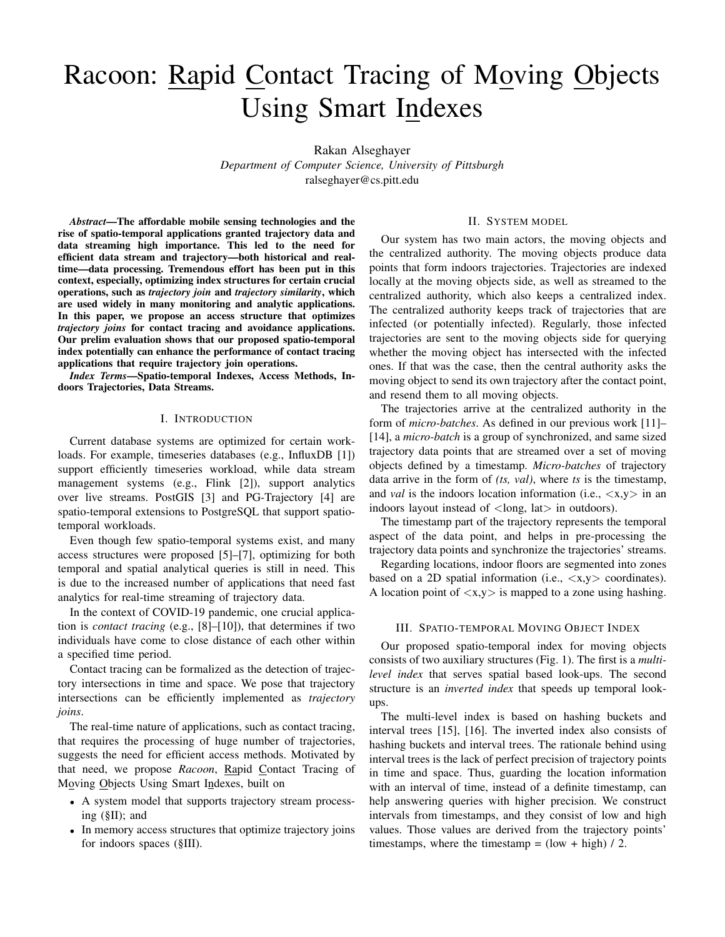# Racoon: Rapid Contact Tracing of Moving Objects Using Smart Indexes

Rakan Alseghayer *Department of Computer Science, University of Pittsburgh* ralseghayer@cs.pitt.edu

*Abstract*—The affordable mobile sensing technologies and the rise of spatio-temporal applications granted trajectory data and data streaming high importance. This led to the need for efficient data stream and trajectory—both historical and realtime—data processing. Tremendous effort has been put in this context, especially, optimizing index structures for certain crucial operations, such as *trajectory join* and *trajectory similarity*, which are used widely in many monitoring and analytic applications. In this paper, we propose an access structure that optimizes *trajectory joins* for contact tracing and avoidance applications. Our prelim evaluation shows that our proposed spatio-temporal index potentially can enhance the performance of contact tracing applications that require trajectory join operations.

*Index Terms*—Spatio-temporal Indexes, Access Methods, Indoors Trajectories, Data Streams.

## I. INTRODUCTION

Current database systems are optimized for certain workloads. For example, timeseries databases (e.g., InfluxDB [1]) support efficiently timeseries workload, while data stream management systems (e.g., Flink [2]), support analytics over live streams. PostGIS [3] and PG-Trajectory [4] are spatio-temporal extensions to PostgreSQL that support spatiotemporal workloads.

Even though few spatio-temporal systems exist, and many access structures were proposed [5]–[7], optimizing for both temporal and spatial analytical queries is still in need. This is due to the increased number of applications that need fast analytics for real-time streaming of trajectory data.

In the context of COVID-19 pandemic, one crucial application is *contact tracing* (e.g., [8]–[10]), that determines if two individuals have come to close distance of each other within a specified time period.

Contact tracing can be formalized as the detection of trajectory intersections in time and space. We pose that trajectory intersections can be efficiently implemented as *trajectory joins*.

The real-time nature of applications, such as contact tracing, that requires the processing of huge number of trajectories, suggests the need for efficient access methods. Motivated by that need, we propose *Racoon*, Rapid Contact Tracing of Moving Objects Using Smart Indexes, built on

- A system model that supports trajectory stream processing (§II); and
- In memory access structures that optimize trajectory joins for indoors spaces (§III).

## II. SYSTEM MODEL

Our system has two main actors, the moving objects and the centralized authority. The moving objects produce data points that form indoors trajectories. Trajectories are indexed locally at the moving objects side, as well as streamed to the centralized authority, which also keeps a centralized index. The centralized authority keeps track of trajectories that are infected (or potentially infected). Regularly, those infected trajectories are sent to the moving objects side for querying whether the moving object has intersected with the infected ones. If that was the case, then the central authority asks the moving object to send its own trajectory after the contact point, and resend them to all moving objects.

The trajectories arrive at the centralized authority in the form of *micro-batches*. As defined in our previous work [11]– [14], a *micro-batch* is a group of synchronized, and same sized trajectory data points that are streamed over a set of moving objects defined by a timestamp. *Micro-batches* of trajectory data arrive in the form of *(ts, val)*, where *ts* is the timestamp, and *val* is the indoors location information (i.e.,  $\langle x, y \rangle$  in an indoors layout instead of  $\langle$ long, lat $\rangle$  in outdoors).

The timestamp part of the trajectory represents the temporal aspect of the data point, and helps in pre-processing the trajectory data points and synchronize the trajectories' streams.

Regarding locations, indoor floors are segmented into zones based on a 2D spatial information (i.e.,  $\langle x, y \rangle$  coordinates). A location point of  $\langle x, y \rangle$  is mapped to a zone using hashing.

## III. SPATIO-TEMPORAL MOVING OBJECT INDEX

Our proposed spatio-temporal index for moving objects consists of two auxiliary structures (Fig. 1). The first is a *multilevel index* that serves spatial based look-ups. The second structure is an *inverted index* that speeds up temporal lookups.

The multi-level index is based on hashing buckets and interval trees [15], [16]. The inverted index also consists of hashing buckets and interval trees. The rationale behind using interval trees is the lack of perfect precision of trajectory points in time and space. Thus, guarding the location information with an interval of time, instead of a definite timestamp, can help answering queries with higher precision. We construct intervals from timestamps, and they consist of low and high values. Those values are derived from the trajectory points' timestamps, where the timestamp =  $(low + high) / 2$ .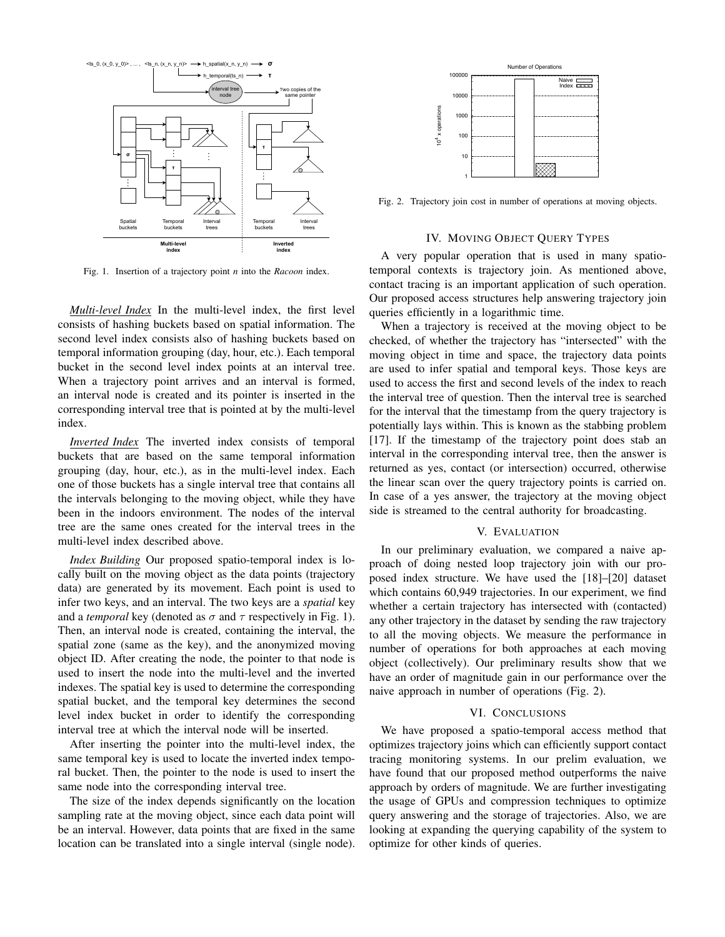

Fig. 1. Insertion of a trajectory point *n* into the *Racoon* index.

*Multi-level Index* In the multi-level index, the first level consists of hashing buckets based on spatial information. The second level index consists also of hashing buckets based on temporal information grouping (day, hour, etc.). Each temporal bucket in the second level index points at an interval tree. When a trajectory point arrives and an interval is formed, an interval node is created and its pointer is inserted in the corresponding interval tree that is pointed at by the multi-level index.

*Inverted Index* The inverted index consists of temporal buckets that are based on the same temporal information grouping (day, hour, etc.), as in the multi-level index. Each one of those buckets has a single interval tree that contains all the intervals belonging to the moving object, while they have been in the indoors environment. The nodes of the interval tree are the same ones created for the interval trees in the multi-level index described above.

*Index Building* Our proposed spatio-temporal index is locally built on the moving object as the data points (trajectory data) are generated by its movement. Each point is used to infer two keys, and an interval. The two keys are a *spatial* key and a *temporal* key (denoted as  $\sigma$  and  $\tau$  respectively in Fig. 1). Then, an interval node is created, containing the interval, the spatial zone (same as the key), and the anonymized moving object ID. After creating the node, the pointer to that node is used to insert the node into the multi-level and the inverted indexes. The spatial key is used to determine the corresponding spatial bucket, and the temporal key determines the second level index bucket in order to identify the corresponding interval tree at which the interval node will be inserted.

After inserting the pointer into the multi-level index, the same temporal key is used to locate the inverted index temporal bucket. Then, the pointer to the node is used to insert the same node into the corresponding interval tree.

The size of the index depends significantly on the location sampling rate at the moving object, since each data point will be an interval. However, data points that are fixed in the same location can be translated into a single interval (single node).



Fig. 2. Trajectory join cost in number of operations at moving objects.

## IV. MOVING OBJECT QUERY TYPES

A very popular operation that is used in many spatiotemporal contexts is trajectory join. As mentioned above, contact tracing is an important application of such operation. Our proposed access structures help answering trajectory join queries efficiently in a logarithmic time.

When a trajectory is received at the moving object to be checked, of whether the trajectory has "intersected" with the moving object in time and space, the trajectory data points are used to infer spatial and temporal keys. Those keys are used to access the first and second levels of the index to reach the interval tree of question. Then the interval tree is searched for the interval that the timestamp from the query trajectory is potentially lays within. This is known as the stabbing problem [17]. If the timestamp of the trajectory point does stab an interval in the corresponding interval tree, then the answer is returned as yes, contact (or intersection) occurred, otherwise the linear scan over the query trajectory points is carried on. In case of a yes answer, the trajectory at the moving object side is streamed to the central authority for broadcasting.

#### V. EVALUATION

In our preliminary evaluation, we compared a naive approach of doing nested loop trajectory join with our proposed index structure. We have used the [18]–[20] dataset which contains 60,949 trajectories. In our experiment, we find whether a certain trajectory has intersected with (contacted) any other trajectory in the dataset by sending the raw trajectory to all the moving objects. We measure the performance in number of operations for both approaches at each moving object (collectively). Our preliminary results show that we have an order of magnitude gain in our performance over the naive approach in number of operations (Fig. 2).

### VI. CONCLUSIONS

We have proposed a spatio-temporal access method that optimizes trajectory joins which can efficiently support contact tracing monitoring systems. In our prelim evaluation, we have found that our proposed method outperforms the naive approach by orders of magnitude. We are further investigating the usage of GPUs and compression techniques to optimize query answering and the storage of trajectories. Also, we are looking at expanding the querying capability of the system to optimize for other kinds of queries.